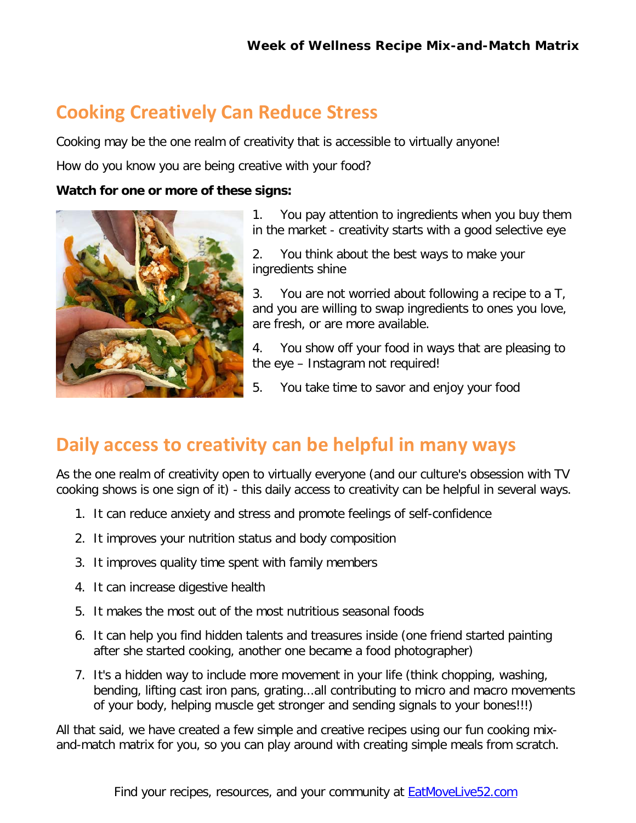# **Cooking Creatively Can Reduce Stress**

Cooking may be the one realm of creativity that is accessible to virtually anyone!

How do you know you are being creative with your food?

#### **Watch for one or more of these signs:**



1. You pay attention to ingredients when you buy them in the market - creativity starts with a good selective eye

2. You think about the best ways to make your ingredients shine

3. You are not worried about following a recipe to a T, and you are willing to swap ingredients to ones you love, are fresh, or are more available.

4. You show off your food in ways that are pleasing to the eye – Instagram not required!

5. You take time to savor and enjoy your food

# **Daily access to creativity can be helpful in many ways**

As the one realm of creativity open to virtually everyone (and our culture's obsession with TV cooking shows is one sign of it) - this daily access to creativity can be helpful in several ways.

- 1. It can reduce anxiety and stress and promote feelings of self-confidence
- 2. It improves your nutrition status and body composition
- 3. It improves quality time spent with family members
- 4. It can increase digestive health
- 5. It makes the most out of the most nutritious seasonal foods
- 6. It can help you find hidden talents and treasures inside (one friend started painting after she started cooking, another one became a food photographer)
- 7. It's a hidden way to include more movement in your life (think chopping, washing, bending, lifting cast iron pans, grating...all contributing to micro and macro movements of your body, helping muscle get stronger and sending signals to your bones!!!)

All that said, we have created a few simple and creative recipes using our fun cooking mixand-match matrix for you, so you can play around with creating simple meals from scratch.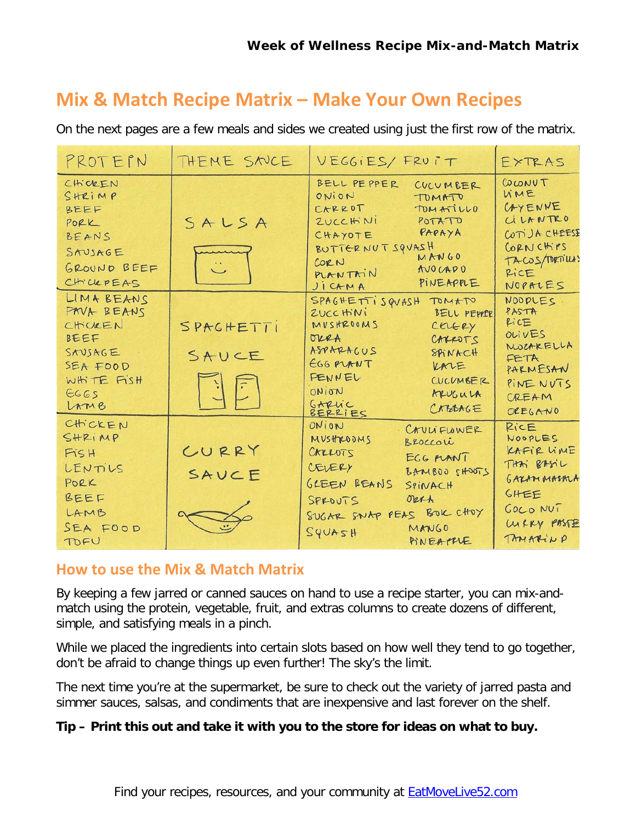# **Mix & Match Recipe Matrix – Make Your Own Recipes**

On the next pages are a few meals and sides we created using just the first row of the matrix.

| PROTEPN                                                                                          | THEME SNUE         | VEGGIES/ FRUIT                                                                                                                                                                                                             | EXTRAS                                                                                                  |
|--------------------------------------------------------------------------------------------------|--------------------|----------------------------------------------------------------------------------------------------------------------------------------------------------------------------------------------------------------------------|---------------------------------------------------------------------------------------------------------|
| CHICKEN<br>SHRIMP<br>BEEF<br>PORK<br>BEANS<br>SAUSAGE<br>GROUND BEEF<br>CHICKPEAS                | SALSA              | BELL PEPPER<br>CUCUMBER<br>ONION<br>TOMATO<br>CARROT<br>TOMATILLO<br>ZUCCHINI<br>POTATO<br>PAPAYA<br>CHAYOTE<br>BUTTERNUT SQUASH<br>MANGO<br>CORN<br><b>MOCADO</b><br>PLANTAIN<br>PINEAPPLE<br>JICAMA                      | COLONUT<br>WME<br>CAYENNE<br>CILANTRO<br>COTIJACHEESE<br>CORNCHIPS<br>TACOS/TORTIUMS<br>RICE<br>NOPALES |
| LIMA BEANS<br>FAVA BEANS<br>CHICKEN<br>BEEF<br>SAUSAGE<br>SEA FOOD<br>WHITE FISH<br>6665<br>LAMB | SPAGHETTI<br>SAUCE | SPAGHETTI SQVASH TOMATO<br>ZUCCHINI<br>BELL PEPPER<br>MUSHROOMS<br>CELERY<br>orra<br>CARROTS<br>ASPARACUS<br><b>SPINACH</b><br>EGG PLANT<br>KALE<br>FENNEL<br>CUCUMBER<br>WOINO<br>ARUGULA<br>GARLIC<br>BERRIES<br>CREARGE | NOODLES.<br>PASTA<br>PICE<br>OLIVES<br>MOZARELLA<br>FETA<br>PARMESAN<br>PINE NUTS<br>CREAM<br>OREGANO   |
| CHICKEN<br>SHRIMP<br>FISH<br>LENTILS<br>PORK<br>BEEF<br>LAMB<br>SEA FOOD<br>TOFU                 | CURRY<br>SAUCE     | ONION<br>CAVLIFLOWER<br>MUSTROOMS<br>BROCCOLi<br>CARROTS<br>EGG MANT<br>CEVERY<br>BANBOO SHOOTS<br>GLEEN BEANS<br>SPINACH<br>okth<br>SPROUTS<br>SUGAR SNAP PEAS BOK CHOY<br>MANGO<br>424092<br>PINEAPPLE                   | RICE<br>NOOPLES<br>KAFIR LINE<br>THAT BASIL<br>GAZAMMASMA<br>GHEE<br>GOCO NUT<br>WRRY PASTE<br>TAMARINO |

#### **How to use the Mix & Match Matrix**

By keeping a few jarred or canned sauces on hand to use a recipe starter, you can mix-andmatch using the protein, vegetable, fruit, and extras columns to create dozens of different, simple, and satisfying meals in a pinch.

While we placed the ingredients into certain slots based on how well they tend to go together, don't be afraid to change things up even further! The sky's the limit.

The next time you're at the supermarket, be sure to check out the variety of jarred pasta and simmer sauces, salsas, and condiments that are inexpensive and last forever on the shelf.

#### **Tip – Print this out and take it with you to the store for ideas on what to buy.**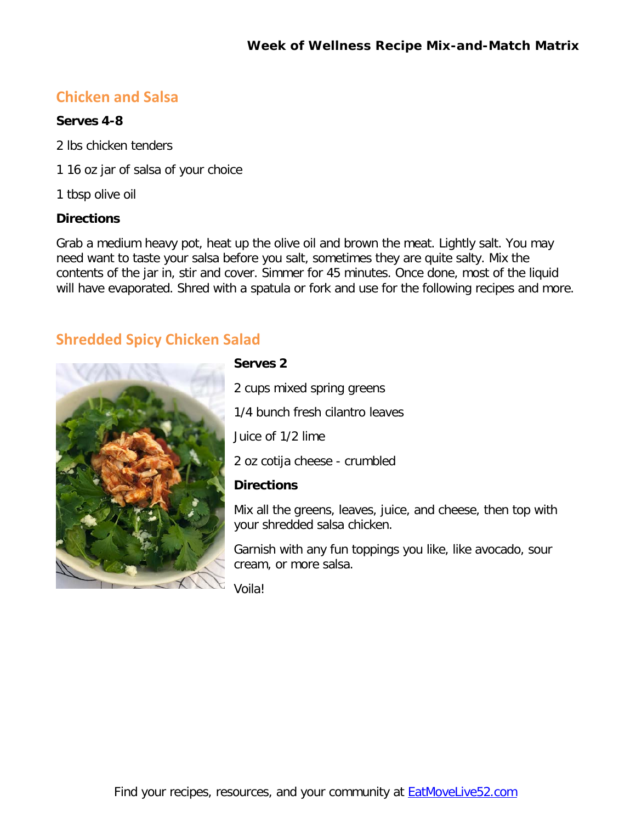## **Chicken and Salsa**

#### **Serves 4-8**

2 lbs chicken tenders

1 16 oz jar of salsa of your choice

1 tbsp olive oil

#### **Directions**

Grab a medium heavy pot, heat up the olive oil and brown the meat. Lightly salt. You may need want to taste your salsa before you salt, sometimes they are quite salty. Mix the contents of the jar in, stir and cover. Simmer for 45 minutes. Once done, most of the liquid will have evaporated. Shred with a spatula or fork and use for the following recipes and more.

## **Shredded Spicy Chicken Salad**



**Serves 2**

2 cups mixed spring greens

1/4 bunch fresh cilantro leaves

Juice of 1/2 lime

2 oz cotija cheese - crumbled

#### **Directions**

Mix all the greens, leaves, juice, and cheese, then top with your shredded salsa chicken.

Garnish with any fun toppings you like, like avocado, sour cream, or more salsa.

Voila!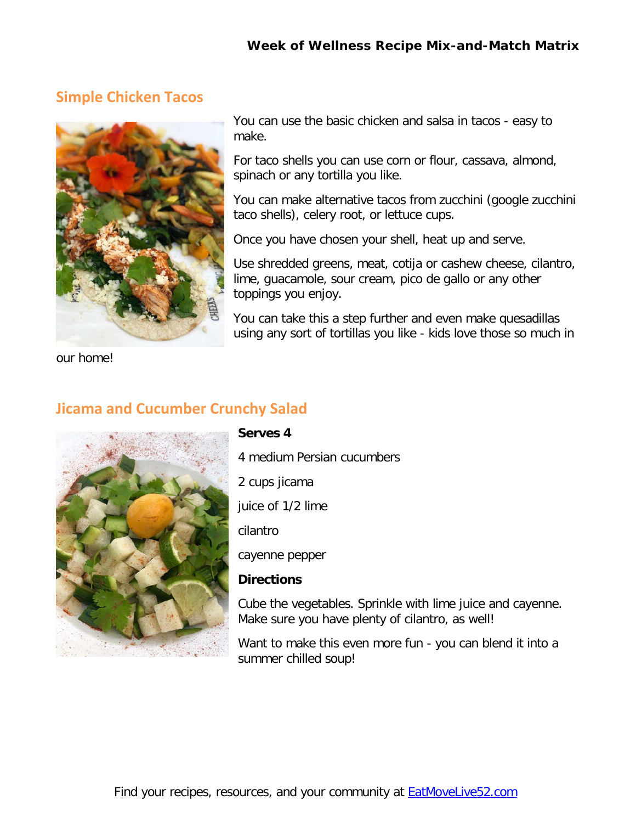## **Simple Chicken Tacos**



You can use the basic chicken and salsa in tacos - easy to make.

For taco shells you can use corn or flour, cassava, almond, spinach or any tortilla you like.

You can make alternative tacos from zucchini (google zucchini taco shells), celery root, or lettuce cups.

Once you have chosen your shell, heat up and serve.

Use shredded greens, meat, cotija or cashew cheese, cilantro, lime, guacamole, sour cream, pico de gallo or any other toppings you enjoy.

You can take this a step further and even make quesadillas using any sort of tortillas you like - kids love those so much in

our home!

## **Jicama and Cucumber Crunchy Salad**



#### **Serves 4**

4 medium Persian cucumbers 2 cups jicama juice of 1/2 lime cilantro cayenne pepper **Directions**

Cube the vegetables. Sprinkle with lime juice and cayenne. Make sure you have plenty of cilantro, as well!

Want to make this even more fun - you can blend it into a summer chilled soup!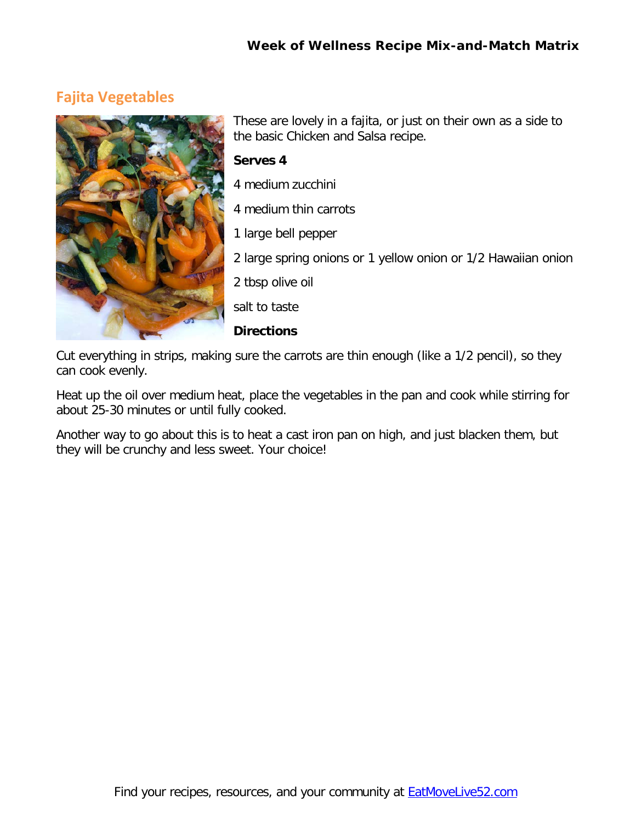## **Fajita Vegetables**



These are lovely in a fajita, or just on their own as a side to the basic Chicken and Salsa recipe.

#### **Serves 4**

- 4 medium zucchini
- 4 medium thin carrots
- 1 large bell pepper
- 2 large spring onions or 1 yellow onion or 1/2 Hawaiian onion
- 2 tbsp olive oil
- salt to taste

#### **Directions**

Cut everything in strips, making sure the carrots are thin enough (like a 1/2 pencil), so they can cook evenly.

Heat up the oil over medium heat, place the vegetables in the pan and cook while stirring for about 25-30 minutes or until fully cooked.

Another way to go about this is to heat a cast iron pan on high, and just blacken them, but they will be crunchy and less sweet. Your choice!